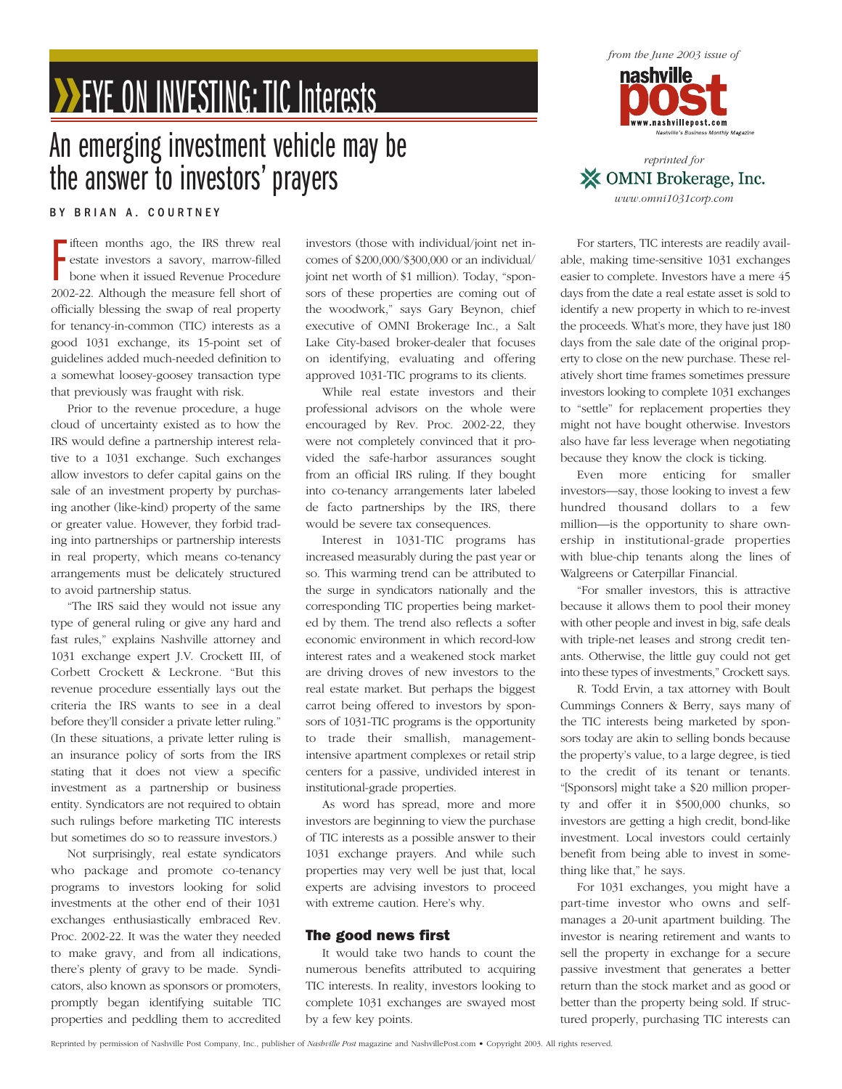# **BEYE ON INVESTING: TIC Interests**

## An emerging investment vehicle may be the answer to investors' prayers

BY BRIAN A. COURTNEY

Fifteen months ago, the IRS threw real<br>estate investors a savory, marrow-filled<br>bone when it issued Revenue Procedure<br>2002-22. Although the measure fell short of ifteen months ago, the IRS threw real estate investors a savory, marrow-filled bone when it issued Revenue Procedure officially blessing the swap of real property for tenancy-in-common (TIC) interests as a good 1031 exchange, its 15-point set of guidelines added much-needed definition to a somewhat loosey-goosey transaction type that previously was fraught with risk.

Prior to the revenue procedure, a huge cloud of uncertainty existed as to how the IRS would define a partnership interest relative to a 1031 exchange. Such exchanges allow investors to defer capital gains on the sale of an investment property by purchasing another (like-kind) property of the same or greater value. However, they forbid trading into partnerships or partnership interests in real property, which means co-tenancy arrangements must be delicately structured to avoid partnership status.

"The IRS said they would not issue any type of general ruling or give any hard and fast rules," explains Nashville attorney and 1031 exchange expert J.V. Crockett III, of Corbett Crockett & Leckrone. "But this revenue procedure essentially lays out the criteria the IRS wants to see in a deal before they'll consider a private letter ruling." (In these situations, a private letter ruling is an insurance policy of sorts from the IRS stating that it does not view a specific investment as a partnership or business entity. Syndicators are not required to obtain such rulings before marketing TIC interests but sometimes do so to reassure investors.)

Not surprisingly, real estate syndicators who package and promote co-tenancy programs to investors looking for solid investments at the other end of their 1031 exchanges enthusiastically embraced Rev. Proc. 2002-22. It was the water they needed to make gravy, and from all indications, there's plenty of gravy to be made. Syndicators, also known as sponsors or promoters, promptly began identifying suitable TIC properties and peddling them to accredited investors (those with individual/joint net incomes of \$200,000/\$300,000 or an individual/ joint net worth of \$1 million). Today, "sponsors of these properties are coming out of the woodwork," says Gary Beynon, chief executive of OMNI Brokerage Inc., a Salt Lake City-based broker-dealer that focuses on identifying, evaluating and offering approved 1031-TIC programs to its clients.

While real estate investors and their professional advisors on the whole were encouraged by Rev. Proc. 2002-22, they were not completely convinced that it provided the safe-harbor assurances sought from an official IRS ruling. If they bought into co-tenancy arrangements later labeled de facto partnerships by the IRS, there would be severe tax consequences.

Interest in 1031-TIC programs has increased measurably during the past year or so. This warming trend can be attributed to the surge in syndicators nationally and the corresponding TIC properties being marketed by them. The trend also reflects a softer economic environment in which record-low interest rates and a weakened stock market are driving droves of new investors to the real estate market. But perhaps the biggest carrot being offered to investors by sponsors of 1031-TIC programs is the opportunity to trade their smallish, managementintensive apartment complexes or retail strip centers for a passive, undivided interest in institutional-grade properties.

As word has spread, more and more investors are beginning to view the purchase of TIC interests as a possible answer to their 1031 exchange prayers. And while such properties may very well be just that, local experts are advising investors to proceed with extreme caution. Here's why.

#### The good news first

It would take two hands to count the numerous benefits attributed to acquiring TIC interests. In reality, investors looking to complete 1031 exchanges are swayed most by a few key points.



*www.omni1031corp.com*

For starters, TIC interests are readily available, making time-sensitive 1031 exchanges easier to complete. Investors have a mere 45 days from the date a real estate asset is sold to identify a new property in which to re-invest the proceeds. What's more, they have just 180 days from the sale date of the original property to close on the new purchase. These relatively short time frames sometimes pressure investors looking to complete 1031 exchanges to "settle" for replacement properties they might not have bought otherwise. Investors also have far less leverage when negotiating because they know the clock is ticking.

Even more enticing for smaller investors—say, those looking to invest a few hundred thousand dollars to a few million—is the opportunity to share ownership in institutional-grade properties with blue-chip tenants along the lines of Walgreens or Caterpillar Financial.

"For smaller investors, this is attractive because it allows them to pool their money with other people and invest in big, safe deals with triple-net leases and strong credit tenants. Otherwise, the little guy could not get into these types of investments," Crockett says.

R. Todd Ervin, a tax attorney with Boult Cummings Conners & Berry, says many of the TIC interests being marketed by sponsors today are akin to selling bonds because the property's value, to a large degree, is tied to the credit of its tenant or tenants. "[Sponsors] might take a \$20 million property and offer it in \$500,000 chunks, so investors are getting a high credit, bond-like investment. Local investors could certainly benefit from being able to invest in something like that," he says.

For 1031 exchanges, you might have a part-time investor who owns and selfmanages a 20-unit apartment building. The investor is nearing retirement and wants to sell the property in exchange for a secure passive investment that generates a better return than the stock market and as good or better than the property being sold. If structured properly, purchasing TIC interests can